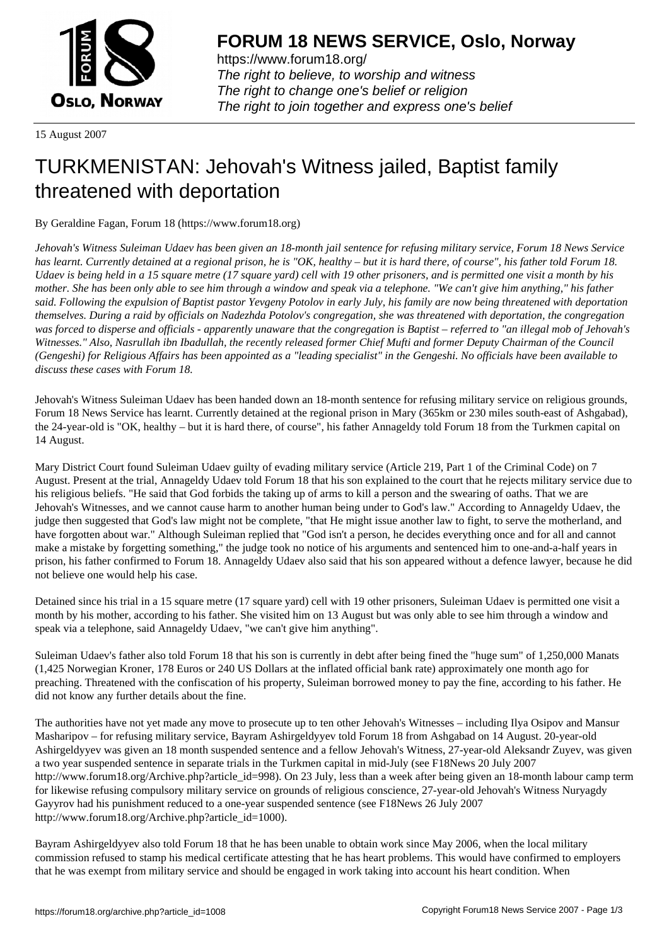

https://www.forum18.org/ The right to believe, to worship and witness The right to change one's belief or religion [The right to join together a](https://www.forum18.org/)nd express one's belief

15 August 2007

## [TURKMENISTA](https://www.forum18.org)N: Jehovah's Witness jailed, Baptist family threatened with deportation

By Geraldine Fagan, Forum 18 (https://www.forum18.org)

*Jehovah's Witness Suleiman Udaev has been given an 18-month jail sentence for refusing military service, Forum 18 News Service has learnt. Currently detained at a regional prison, he is "OK, healthy – but it is hard there, of course", his father told Forum 18. Udaev is being held in a 15 square metre (17 square yard) cell with 19 other prisoners, and is permitted one visit a month by his mother. She has been only able to see him through a window and speak via a telephone. "We can't give him anything," his father said. Following the expulsion of Baptist pastor Yevgeny Potolov in early July, his family are now being threatened with deportation themselves. During a raid by officials on Nadezhda Potolov's congregation, she was threatened with deportation, the congregation was forced to disperse and officials - apparently unaware that the congregation is Baptist – referred to "an illegal mob of Jehovah's Witnesses." Also, Nasrullah ibn Ibadullah, the recently released former Chief Mufti and former Deputy Chairman of the Council (Gengeshi) for Religious Affairs has been appointed as a "leading specialist" in the Gengeshi. No officials have been available to discuss these cases with Forum 18.*

Jehovah's Witness Suleiman Udaev has been handed down an 18-month sentence for refusing military service on religious grounds, Forum 18 News Service has learnt. Currently detained at the regional prison in Mary (365km or 230 miles south-east of Ashgabad), the 24-year-old is "OK, healthy – but it is hard there, of course", his father Annageldy told Forum 18 from the Turkmen capital on 14 August.

Mary District Court found Suleiman Udaev guilty of evading military service (Article 219, Part 1 of the Criminal Code) on 7 August. Present at the trial, Annageldy Udaev told Forum 18 that his son explained to the court that he rejects military service due to his religious beliefs. "He said that God forbids the taking up of arms to kill a person and the swearing of oaths. That we are Jehovah's Witnesses, and we cannot cause harm to another human being under to God's law." According to Annageldy Udaev, the judge then suggested that God's law might not be complete, "that He might issue another law to fight, to serve the motherland, and have forgotten about war." Although Suleiman replied that "God isn't a person, he decides everything once and for all and cannot make a mistake by forgetting something," the judge took no notice of his arguments and sentenced him to one-and-a-half years in prison, his father confirmed to Forum 18. Annageldy Udaev also said that his son appeared without a defence lawyer, because he did not believe one would help his case.

Detained since his trial in a 15 square metre (17 square yard) cell with 19 other prisoners, Suleiman Udaev is permitted one visit a month by his mother, according to his father. She visited him on 13 August but was only able to see him through a window and speak via a telephone, said Annageldy Udaev, "we can't give him anything".

Suleiman Udaev's father also told Forum 18 that his son is currently in debt after being fined the "huge sum" of 1,250,000 Manats (1,425 Norwegian Kroner, 178 Euros or 240 US Dollars at the inflated official bank rate) approximately one month ago for preaching. Threatened with the confiscation of his property, Suleiman borrowed money to pay the fine, according to his father. He did not know any further details about the fine.

The authorities have not yet made any move to prosecute up to ten other Jehovah's Witnesses – including Ilya Osipov and Mansur Masharipov – for refusing military service, Bayram Ashirgeldyyev told Forum 18 from Ashgabad on 14 August. 20-year-old Ashirgeldyyev was given an 18 month suspended sentence and a fellow Jehovah's Witness, 27-year-old Aleksandr Zuyev, was given a two year suspended sentence in separate trials in the Turkmen capital in mid-July (see F18News 20 July 2007 http://www.forum18.org/Archive.php?article\_id=998). On 23 July, less than a week after being given an 18-month labour camp term for likewise refusing compulsory military service on grounds of religious conscience, 27-year-old Jehovah's Witness Nuryagdy Gayyrov had his punishment reduced to a one-year suspended sentence (see F18News 26 July 2007 http://www.forum18.org/Archive.php?article\_id=1000).

Bayram Ashirgeldyyev also told Forum 18 that he has been unable to obtain work since May 2006, when the local military commission refused to stamp his medical certificate attesting that he has heart problems. This would have confirmed to employers that he was exempt from military service and should be engaged in work taking into account his heart condition. When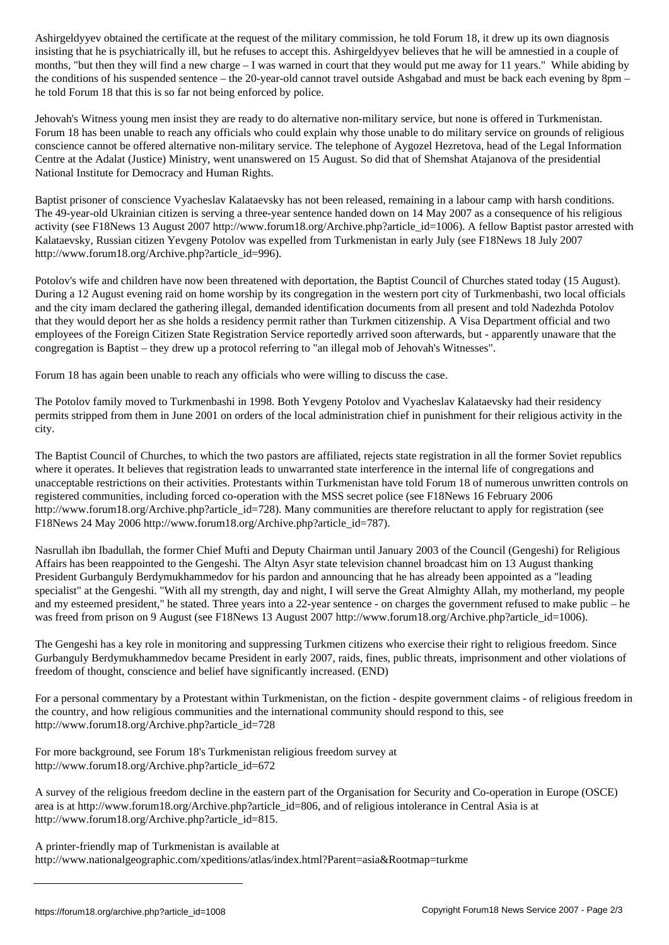insisting that he is psychiatrically ill, but he refuses to accept this. Ashirgeldyyev believes that he will be amnestied in a couple of months, "but then they will find a new charge – I was warned in court that they would put me away for 11 years." While abiding by the conditions of his suspended sentence – the 20-year-old cannot travel outside Ashgabad and must be back each evening by 8pm – he told Forum 18 that this is so far not being enforced by police.

Jehovah's Witness young men insist they are ready to do alternative non-military service, but none is offered in Turkmenistan. Forum 18 has been unable to reach any officials who could explain why those unable to do military service on grounds of religious conscience cannot be offered alternative non-military service. The telephone of Aygozel Hezretova, head of the Legal Information Centre at the Adalat (Justice) Ministry, went unanswered on 15 August. So did that of Shemshat Atajanova of the presidential National Institute for Democracy and Human Rights.

Baptist prisoner of conscience Vyacheslav Kalataevsky has not been released, remaining in a labour camp with harsh conditions. The 49-year-old Ukrainian citizen is serving a three-year sentence handed down on 14 May 2007 as a consequence of his religious activity (see F18News 13 August 2007 http://www.forum18.org/Archive.php?article\_id=1006). A fellow Baptist pastor arrested with Kalataevsky, Russian citizen Yevgeny Potolov was expelled from Turkmenistan in early July (see F18News 18 July 2007 http://www.forum18.org/Archive.php?article\_id=996).

Potolov's wife and children have now been threatened with deportation, the Baptist Council of Churches stated today (15 August). During a 12 August evening raid on home worship by its congregation in the western port city of Turkmenbashi, two local officials and the city imam declared the gathering illegal, demanded identification documents from all present and told Nadezhda Potolov that they would deport her as she holds a residency permit rather than Turkmen citizenship. A Visa Department official and two employees of the Foreign Citizen State Registration Service reportedly arrived soon afterwards, but - apparently unaware that the congregation is Baptist – they drew up a protocol referring to "an illegal mob of Jehovah's Witnesses".

Forum 18 has again been unable to reach any officials who were willing to discuss the case.

The Potolov family moved to Turkmenbashi in 1998. Both Yevgeny Potolov and Vyacheslav Kalataevsky had their residency permits stripped from them in June 2001 on orders of the local administration chief in punishment for their religious activity in the city.

The Baptist Council of Churches, to which the two pastors are affiliated, rejects state registration in all the former Soviet republics where it operates. It believes that registration leads to unwarranted state interference in the internal life of congregations and unacceptable restrictions on their activities. Protestants within Turkmenistan have told Forum 18 of numerous unwritten controls on registered communities, including forced co-operation with the MSS secret police (see F18News 16 February 2006 http://www.forum18.org/Archive.php?article\_id=728). Many communities are therefore reluctant to apply for registration (see F18News 24 May 2006 http://www.forum18.org/Archive.php?article\_id=787).

Nasrullah ibn Ibadullah, the former Chief Mufti and Deputy Chairman until January 2003 of the Council (Gengeshi) for Religious Affairs has been reappointed to the Gengeshi. The Altyn Asyr state television channel broadcast him on 13 August thanking President Gurbanguly Berdymukhammedov for his pardon and announcing that he has already been appointed as a "leading specialist" at the Gengeshi. "With all my strength, day and night, I will serve the Great Almighty Allah, my motherland, my people and my esteemed president," he stated. Three years into a 22-year sentence - on charges the government refused to make public – he was freed from prison on 9 August (see F18News 13 August 2007 http://www.forum18.org/Archive.php?article\_id=1006).

The Gengeshi has a key role in monitoring and suppressing Turkmen citizens who exercise their right to religious freedom. Since Gurbanguly Berdymukhammedov became President in early 2007, raids, fines, public threats, imprisonment and other violations of freedom of thought, conscience and belief have significantly increased. (END)

For a personal commentary by a Protestant within Turkmenistan, on the fiction - despite government claims - of religious freedom in the country, and how religious communities and the international community should respond to this, see http://www.forum18.org/Archive.php?article\_id=728

For more background, see Forum 18's Turkmenistan religious freedom survey at http://www.forum18.org/Archive.php?article\_id=672

A survey of the religious freedom decline in the eastern part of the Organisation for Security and Co-operation in Europe (OSCE) area is at http://www.forum18.org/Archive.php?article\_id=806, and of religious intolerance in Central Asia is at http://www.forum18.org/Archive.php?article\_id=815.

A printer-friendly map of Turkmenistan is available at http://www.nationalgeographic.com/xpeditions/atlas/index.html?Parent=asia&Rootmap=turkme